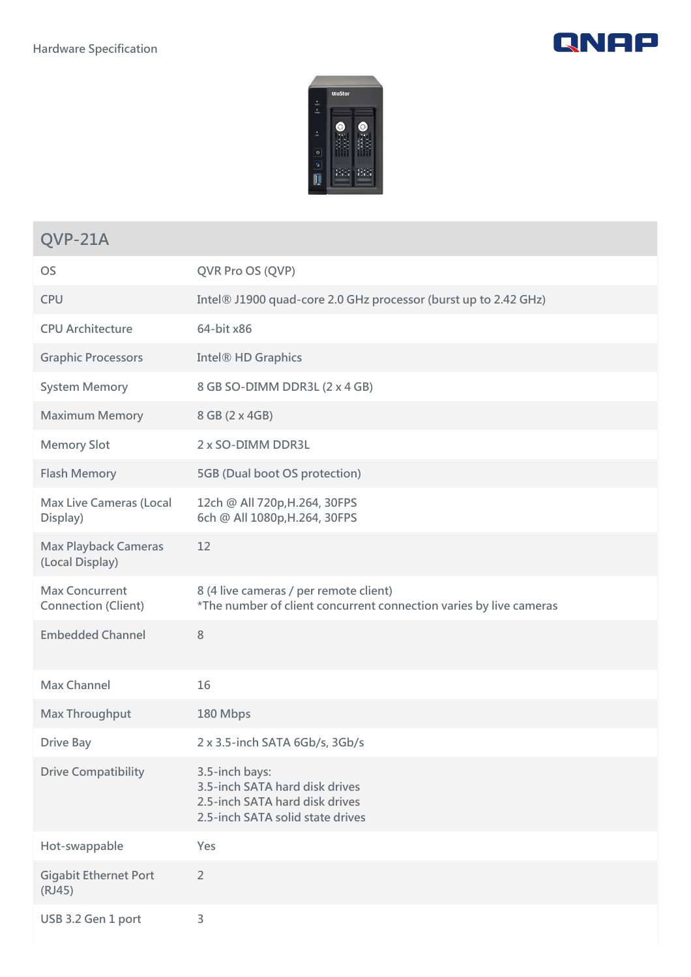



## **QVP-21A**

| <b>OS</b>                                           | QVR Pro OS (QVP)                                                                                                       |
|-----------------------------------------------------|------------------------------------------------------------------------------------------------------------------------|
| <b>CPU</b>                                          | Intel® J1900 quad-core 2.0 GHz processor (burst up to 2.42 GHz)                                                        |
| <b>CPU Architecture</b>                             | 64-bit x86                                                                                                             |
| <b>Graphic Processors</b>                           | Intel <sup>®</sup> HD Graphics                                                                                         |
| <b>System Memory</b>                                | 8 GB SO-DIMM DDR3L (2 x 4 GB)                                                                                          |
| <b>Maximum Memory</b>                               | 8 GB (2 x 4GB)                                                                                                         |
| <b>Memory Slot</b>                                  | 2 x SO-DIMM DDR3L                                                                                                      |
| <b>Flash Memory</b>                                 | 5GB (Dual boot OS protection)                                                                                          |
| <b>Max Live Cameras (Local</b><br>Display)          | 12ch @ All 720p, H.264, 30FPS<br>6ch @ All 1080p, H.264, 30FPS                                                         |
| <b>Max Playback Cameras</b><br>(Local Display)      | 12                                                                                                                     |
| <b>Max Concurrent</b><br><b>Connection (Client)</b> | 8 (4 live cameras / per remote client)<br>*The number of client concurrent connection varies by live cameras           |
| <b>Embedded Channel</b>                             | 8                                                                                                                      |
| <b>Max Channel</b>                                  | 16                                                                                                                     |
| Max Throughput                                      | 180 Mbps                                                                                                               |
| <b>Drive Bay</b>                                    | 2 x 3.5-inch SATA 6Gb/s, 3Gb/s                                                                                         |
| <b>Drive Compatibility</b>                          | 3.5-inch bays:<br>3.5-inch SATA hard disk drives<br>2.5-inch SATA hard disk drives<br>2.5-inch SATA solid state drives |
| Hot-swappable                                       | Yes                                                                                                                    |
| <b>Gigabit Ethernet Port</b><br>(RJ45)              | $\overline{2}$                                                                                                         |
| USB 3.2 Gen 1 port                                  | 3                                                                                                                      |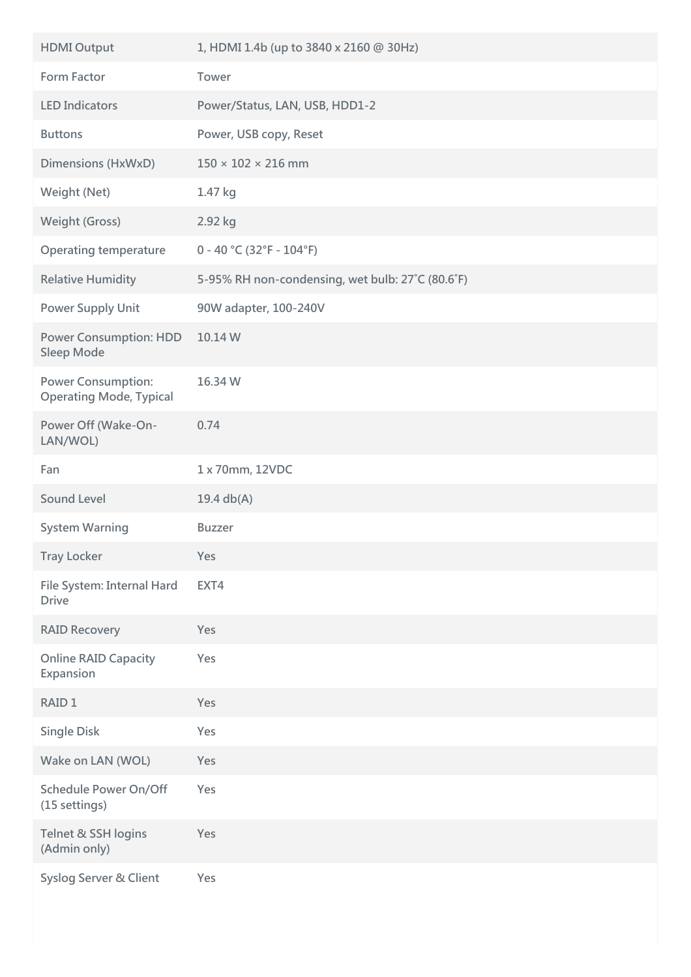| <b>HDMI Output</b>                                          | 1, HDMI 1.4b (up to 3840 x 2160 @ 30Hz)          |
|-------------------------------------------------------------|--------------------------------------------------|
| <b>Form Factor</b>                                          | Tower                                            |
| <b>LED Indicators</b>                                       | Power/Status, LAN, USB, HDD1-2                   |
| <b>Buttons</b>                                              | Power, USB copy, Reset                           |
| Dimensions (HxWxD)                                          | $150 \times 102 \times 216$ mm                   |
| Weight (Net)                                                | 1.47 kg                                          |
| <b>Weight (Gross)</b>                                       | 2.92 kg                                          |
| <b>Operating temperature</b>                                | $0 - 40$ °C (32°F - 104°F)                       |
| <b>Relative Humidity</b>                                    | 5-95% RH non-condensing, wet bulb: 27°C (80.6°F) |
| <b>Power Supply Unit</b>                                    | 90W adapter, 100-240V                            |
| <b>Power Consumption: HDD</b><br><b>Sleep Mode</b>          | 10.14 W                                          |
| <b>Power Consumption:</b><br><b>Operating Mode, Typical</b> | 16.34 W                                          |
| Power Off (Wake-On-<br>LAN/WOL)                             | 0.74                                             |
| Fan                                                         | 1 x 70mm, 12VDC                                  |
| <b>Sound Level</b>                                          | 19.4 $db(A)$                                     |
| <b>System Warning</b>                                       | <b>Buzzer</b>                                    |
| <b>Tray Locker</b>                                          | Yes                                              |
| File System: Internal Hard<br><b>Drive</b>                  | EXT4                                             |
| <b>RAID Recovery</b>                                        | Yes                                              |
| <b>Online RAID Capacity</b><br>Expansion                    | Yes                                              |
| RAID <sub>1</sub>                                           | Yes                                              |
| <b>Single Disk</b>                                          | Yes                                              |
| Wake on LAN (WOL)                                           | Yes                                              |
| <b>Schedule Power On/Off</b><br>(15 settings)               | Yes                                              |
| Telnet & SSH logins<br>(Admin only)                         | Yes                                              |
| Syslog Server & Client                                      | Yes                                              |